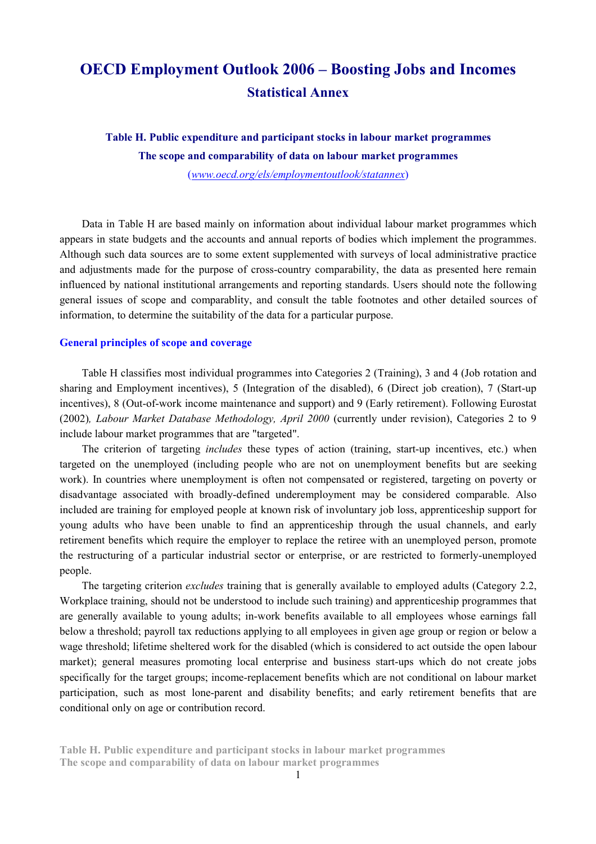# **OECD Employment Outlook 2006 – Boosting Jobs and Incomes Statistical Annex**

**Table H. Public expenditure and participant stocks in labour market programmes The scope and comparability of data on labour market programmes**  (*www.oecd.org/els/employmentoutlook/statannex*)

Data in Table H are based mainly on information about individual labour market programmes which appears in state budgets and the accounts and annual reports of bodies which implement the programmes. Although such data sources are to some extent supplemented with surveys of local administrative practice and adjustments made for the purpose of cross-country comparability, the data as presented here remain influenced by national institutional arrangements and reporting standards. Users should note the following general issues of scope and comparablity, and consult the table footnotes and other detailed sources of information, to determine the suitability of the data for a particular purpose.

#### **General principles of scope and coverage**

Table H classifies most individual programmes into Categories 2 (Training), 3 and 4 (Job rotation and sharing and Employment incentives), 5 (Integration of the disabled), 6 (Direct job creation), 7 (Start-up incentives), 8 (Out-of-work income maintenance and support) and 9 (Early retirement). Following Eurostat (2002)*, Labour Market Database Methodology, April 2000* (currently under revision), Categories 2 to 9 include labour market programmes that are "targeted".

The criterion of targeting *includes* these types of action (training, start-up incentives, etc.) when targeted on the unemployed (including people who are not on unemployment benefits but are seeking work). In countries where unemployment is often not compensated or registered, targeting on poverty or disadvantage associated with broadly-defined underemployment may be considered comparable. Also included are training for employed people at known risk of involuntary job loss, apprenticeship support for young adults who have been unable to find an apprenticeship through the usual channels, and early retirement benefits which require the employer to replace the retiree with an unemployed person, promote the restructuring of a particular industrial sector or enterprise, or are restricted to formerly-unemployed people.

The targeting criterion *excludes* training that is generally available to employed adults (Category 2.2, Workplace training, should not be understood to include such training) and apprenticeship programmes that are generally available to young adults; in-work benefits available to all employees whose earnings fall below a threshold; payroll tax reductions applying to all employees in given age group or region or below a wage threshold; lifetime sheltered work for the disabled (which is considered to act outside the open labour market); general measures promoting local enterprise and business start-ups which do not create jobs specifically for the target groups; income-replacement benefits which are not conditional on labour market participation, such as most lone-parent and disability benefits; and early retirement benefits that are conditional only on age or contribution record.

**Table H. Public expenditure and participant stocks in labour market programmes The scope and comparability of data on labour market programmes**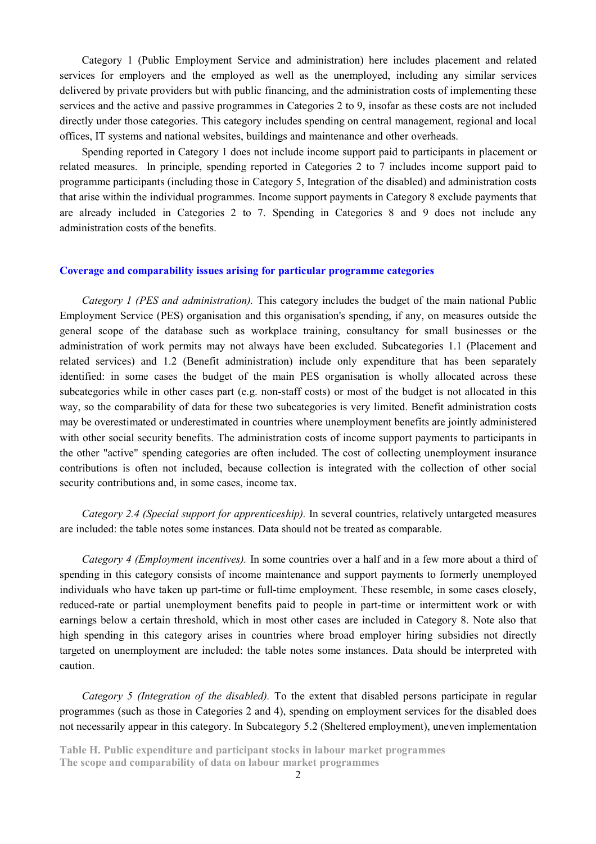Category 1 (Public Employment Service and administration) here includes placement and related services for employers and the employed as well as the unemployed, including any similar services delivered by private providers but with public financing, and the administration costs of implementing these services and the active and passive programmes in Categories 2 to 9, insofar as these costs are not included directly under those categories. This category includes spending on central management, regional and local offices, IT systems and national websites, buildings and maintenance and other overheads.

Spending reported in Category 1 does not include income support paid to participants in placement or related measures. In principle, spending reported in Categories 2 to 7 includes income support paid to programme participants (including those in Category 5, Integration of the disabled) and administration costs that arise within the individual programmes. Income support payments in Category 8 exclude payments that are already included in Categories 2 to 7. Spending in Categories 8 and 9 does not include any administration costs of the benefits.

## **Coverage and comparability issues arising for particular programme categories**

*Category 1 (PES and administration).* This category includes the budget of the main national Public Employment Service (PES) organisation and this organisation's spending, if any, on measures outside the general scope of the database such as workplace training, consultancy for small businesses or the administration of work permits may not always have been excluded. Subcategories 1.1 (Placement and related services) and 1.2 (Benefit administration) include only expenditure that has been separately identified: in some cases the budget of the main PES organisation is wholly allocated across these subcategories while in other cases part (e.g. non-staff costs) or most of the budget is not allocated in this way, so the comparability of data for these two subcategories is very limited. Benefit administration costs may be overestimated or underestimated in countries where unemployment benefits are jointly administered with other social security benefits. The administration costs of income support payments to participants in the other "active" spending categories are often included. The cost of collecting unemployment insurance contributions is often not included, because collection is integrated with the collection of other social security contributions and, in some cases, income tax.

*Category 2.4 (Special support for apprenticeship).* In several countries, relatively untargeted measures are included: the table notes some instances. Data should not be treated as comparable.

*Category 4 (Employment incentives).* In some countries over a half and in a few more about a third of spending in this category consists of income maintenance and support payments to formerly unemployed individuals who have taken up part-time or full-time employment. These resemble, in some cases closely, reduced-rate or partial unemployment benefits paid to people in part-time or intermittent work or with earnings below a certain threshold, which in most other cases are included in Category 8. Note also that high spending in this category arises in countries where broad employer hiring subsidies not directly targeted on unemployment are included: the table notes some instances. Data should be interpreted with caution.

*Category 5 (Integration of the disabled).* To the extent that disabled persons participate in regular programmes (such as those in Categories 2 and 4), spending on employment services for the disabled does not necessarily appear in this category. In Subcategory 5.2 (Sheltered employment), uneven implementation

**Table H. Public expenditure and participant stocks in labour market programmes The scope and comparability of data on labour market programmes**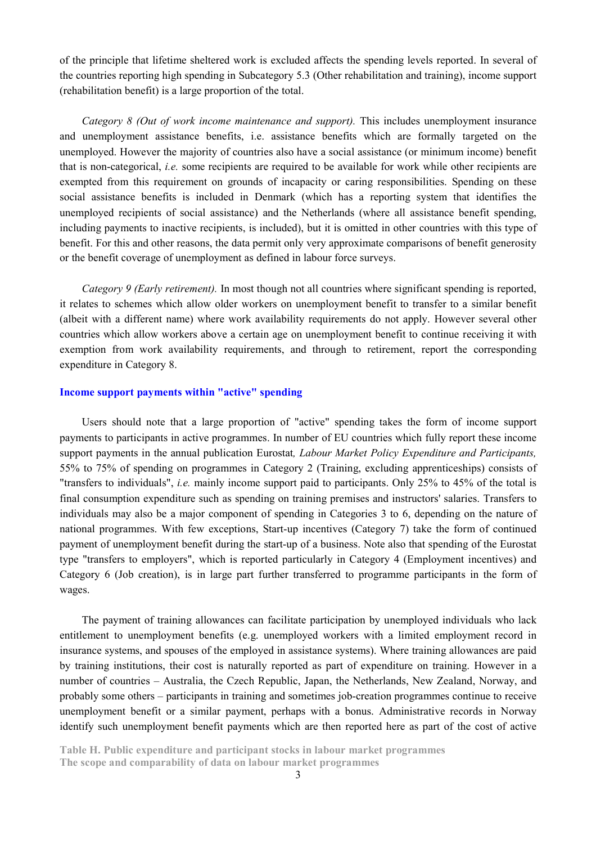of the principle that lifetime sheltered work is excluded affects the spending levels reported. In several of the countries reporting high spending in Subcategory 5.3 (Other rehabilitation and training), income support (rehabilitation benefit) is a large proportion of the total.

*Category 8 (Out of work income maintenance and support).* This includes unemployment insurance and unemployment assistance benefits, i.e. assistance benefits which are formally targeted on the unemployed. However the majority of countries also have a social assistance (or minimum income) benefit that is non-categorical, *i.e.* some recipients are required to be available for work while other recipients are exempted from this requirement on grounds of incapacity or caring responsibilities. Spending on these social assistance benefits is included in Denmark (which has a reporting system that identifies the unemployed recipients of social assistance) and the Netherlands (where all assistance benefit spending, including payments to inactive recipients, is included), but it is omitted in other countries with this type of benefit. For this and other reasons, the data permit only very approximate comparisons of benefit generosity or the benefit coverage of unemployment as defined in labour force surveys.

*Category 9 (Early retirement).* In most though not all countries where significant spending is reported, it relates to schemes which allow older workers on unemployment benefit to transfer to a similar benefit (albeit with a different name) where work availability requirements do not apply. However several other countries which allow workers above a certain age on unemployment benefit to continue receiving it with exemption from work availability requirements, and through to retirement, report the corresponding expenditure in Category 8.

## **Income support payments within "active" spending**

Users should note that a large proportion of "active" spending takes the form of income support payments to participants in active programmes. In number of EU countries which fully report these income support payments in the annual publication Eurostat*, Labour Market Policy Expenditure and Participants,*  55% to 75% of spending on programmes in Category 2 (Training, excluding apprenticeships) consists of "transfers to individuals", *i.e.* mainly income support paid to participants. Only 25% to 45% of the total is final consumption expenditure such as spending on training premises and instructors' salaries. Transfers to individuals may also be a major component of spending in Categories 3 to 6, depending on the nature of national programmes. With few exceptions, Start-up incentives (Category 7) take the form of continued payment of unemployment benefit during the start-up of a business. Note also that spending of the Eurostat type "transfers to employers", which is reported particularly in Category 4 (Employment incentives) and Category 6 (Job creation), is in large part further transferred to programme participants in the form of wages.

The payment of training allowances can facilitate participation by unemployed individuals who lack entitlement to unemployment benefits (e.g. unemployed workers with a limited employment record in insurance systems, and spouses of the employed in assistance systems). Where training allowances are paid by training institutions, their cost is naturally reported as part of expenditure on training. However in a number of countries – Australia, the Czech Republic, Japan, the Netherlands, New Zealand, Norway, and probably some others – participants in training and sometimes job-creation programmes continue to receive unemployment benefit or a similar payment, perhaps with a bonus. Administrative records in Norway identify such unemployment benefit payments which are then reported here as part of the cost of active

**Table H. Public expenditure and participant stocks in labour market programmes The scope and comparability of data on labour market programmes**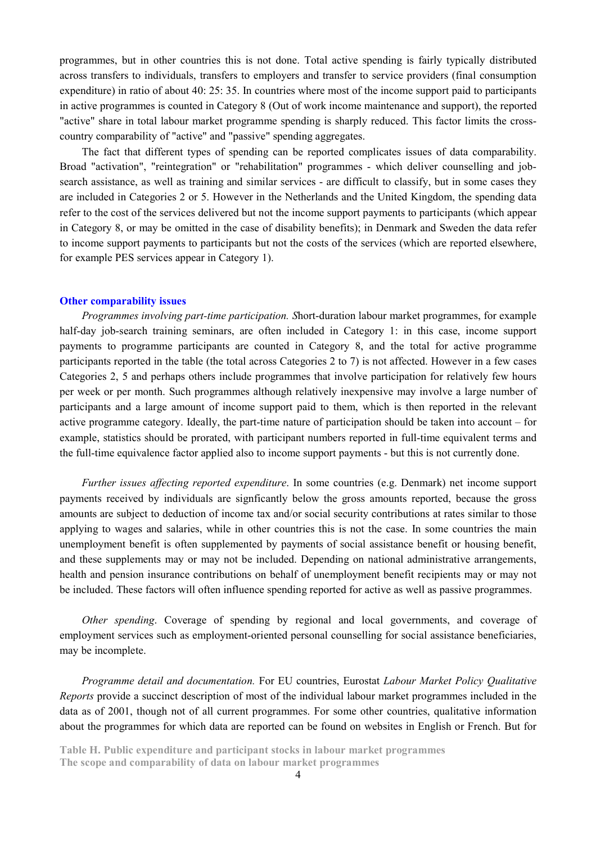programmes, but in other countries this is not done. Total active spending is fairly typically distributed across transfers to individuals, transfers to employers and transfer to service providers (final consumption expenditure) in ratio of about 40: 25: 35. In countries where most of the income support paid to participants in active programmes is counted in Category 8 (Out of work income maintenance and support), the reported "active" share in total labour market programme spending is sharply reduced. This factor limits the crosscountry comparability of "active" and "passive" spending aggregates.

The fact that different types of spending can be reported complicates issues of data comparability. Broad "activation", "reintegration" or "rehabilitation" programmes - which deliver counselling and jobsearch assistance, as well as training and similar services - are difficult to classify, but in some cases they are included in Categories 2 or 5. However in the Netherlands and the United Kingdom, the spending data refer to the cost of the services delivered but not the income support payments to participants (which appear in Category 8, or may be omitted in the case of disability benefits); in Denmark and Sweden the data refer to income support payments to participants but not the costs of the services (which are reported elsewhere, for example PES services appear in Category 1).

### **Other comparability issues**

*Programmes involving part-time participation. S*hort-duration labour market programmes, for example half-day job-search training seminars, are often included in Category 1: in this case, income support payments to programme participants are counted in Category 8, and the total for active programme participants reported in the table (the total across Categories 2 to 7) is not affected. However in a few cases Categories 2, 5 and perhaps others include programmes that involve participation for relatively few hours per week or per month. Such programmes although relatively inexpensive may involve a large number of participants and a large amount of income support paid to them, which is then reported in the relevant active programme category. Ideally, the part-time nature of participation should be taken into account – for example, statistics should be prorated, with participant numbers reported in full-time equivalent terms and the full-time equivalence factor applied also to income support payments - but this is not currently done.

*Further issues affecting reported expenditure*. In some countries (e.g. Denmark) net income support payments received by individuals are signficantly below the gross amounts reported, because the gross amounts are subject to deduction of income tax and/or social security contributions at rates similar to those applying to wages and salaries, while in other countries this is not the case. In some countries the main unemployment benefit is often supplemented by payments of social assistance benefit or housing benefit, and these supplements may or may not be included. Depending on national administrative arrangements, health and pension insurance contributions on behalf of unemployment benefit recipients may or may not be included. These factors will often influence spending reported for active as well as passive programmes.

*Other spending*. Coverage of spending by regional and local governments, and coverage of employment services such as employment-oriented personal counselling for social assistance beneficiaries, may be incomplete.

*Programme detail and documentation.* For EU countries, Eurostat *Labour Market Policy Qualitative Reports* provide a succinct description of most of the individual labour market programmes included in the data as of 2001, though not of all current programmes. For some other countries, qualitative information about the programmes for which data are reported can be found on websites in English or French. But for

**Table H. Public expenditure and participant stocks in labour market programmes The scope and comparability of data on labour market programmes**